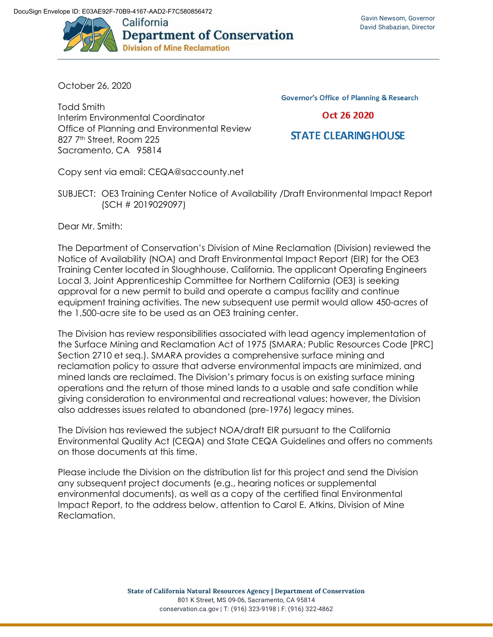

October 26, 2020

Todd Smith Interim Environmental Coordinator Office of Planning and Environmental Review 827 7<sup>th</sup> Street, Room 225 Sacramento, CA 95814

**Governor's Office of Planning & Research** 

## Oct 26 2020

## **STATE CLEARING HOUSE**

Copy sent via email: CEQA@saccounty.net

SUBJECT: OE3 Training Center Notice of Availability /Draft Environmental Impact Report (SCH # 2019029097)

Dear Mr. Smith:

The Department of Conservation's Division of Mine Reclamation (Division) reviewed the Notice of Availability (NOA) and Draft Environmental Impact Report (EIR) for the OE3 Training Center located in Sloughhouse, California. The applicant Operating Engineers Local 3, Joint Apprenticeship Committee for Northern California (OE3) is seeking approval for a new permit to build and operate a campus facility and continue equipment training activities. The new subsequent use permit would allow 450-acres of the 1,500-acre site to be used as an OE3 training center.

The Division has review responsibilities associated with lead agency implementation of the Surface Mining and Reclamation Act of 1975 (SMARA; Public Resources Code [PRC] Section 2710 et seq.). SMARA provides a comprehensive surface mining and reclamation policy to assure that adverse environmental impacts are minimized, and mined lands are reclaimed. The Division's primary focus is on existing surface mining operations and the return of those mined lands to a usable and safe condition while giving consideration to environmental and recreational values; however, the Division also addresses issues related to abandoned (pre-1976) legacy mines.

The Division has reviewed the subject NOA/draft EIR pursuant to the California Environmental Quality Act (CEQA) and State CEQA Guidelines and offers no comments on those documents at this time.

Please include the Division on the distribution list for this project and send the Division any subsequent project documents (e.g., hearing notices or supplemental environmental documents), as well as a copy of the certified final Environmental Impact Report, to the address below, attention to Carol E. Atkins, Division of Mine Reclamation.